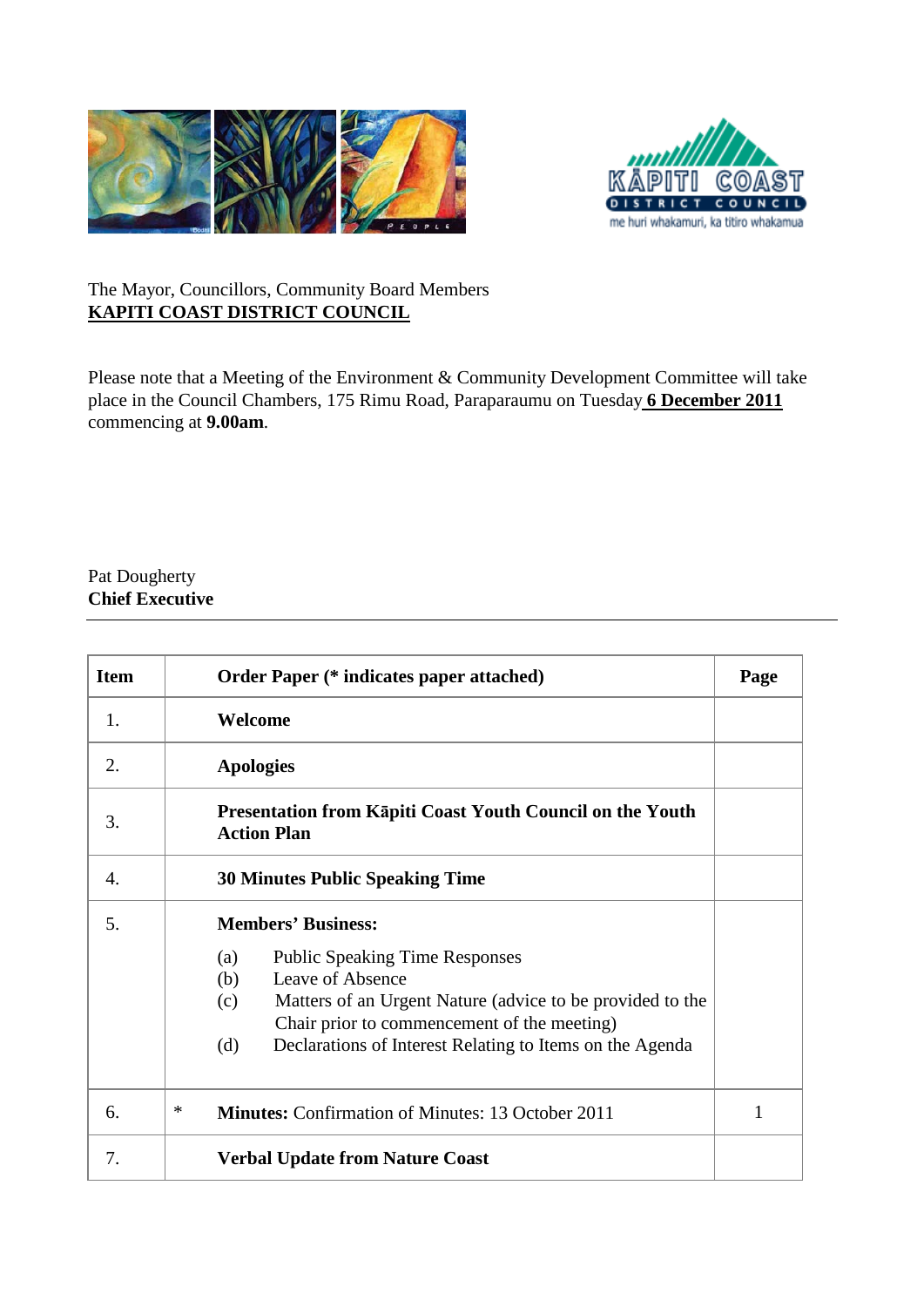



## The Mayor, Councillors, Community Board Members **KAPITI COAST DISTRICT COUNCIL**

Please note that a Meeting of the Environment & Community Development Committee will take place in the Council Chambers, 175 Rimu Road, Paraparaumu on Tuesday **6 December 2011** *<sup>U</sup>*commencing at **9.00am**.

## Pat Dougherty **Chief Executive**

| <b>Item</b>      | <b>Order Paper (* indicates paper attached)</b>                                                                                                                                                                                                               | Page |
|------------------|---------------------------------------------------------------------------------------------------------------------------------------------------------------------------------------------------------------------------------------------------------------|------|
| 1.               | Welcome                                                                                                                                                                                                                                                       |      |
| 2.               | <b>Apologies</b>                                                                                                                                                                                                                                              |      |
| 3.               | Presentation from Kāpiti Coast Youth Council on the Youth<br><b>Action Plan</b>                                                                                                                                                                               |      |
| $\overline{4}$ . | <b>30 Minutes Public Speaking Time</b>                                                                                                                                                                                                                        |      |
| 5.               | <b>Members' Business:</b>                                                                                                                                                                                                                                     |      |
|                  | <b>Public Speaking Time Responses</b><br>(a)<br>Leave of Absence<br>(b)<br>Matters of an Urgent Nature (advice to be provided to the<br>(c)<br>Chair prior to commencement of the meeting)<br>Declarations of Interest Relating to Items on the Agenda<br>(d) |      |
| 6.               | *<br><b>Minutes:</b> Confirmation of Minutes: 13 October 2011                                                                                                                                                                                                 | 1    |
| 7.               | <b>Verbal Update from Nature Coast</b>                                                                                                                                                                                                                        |      |